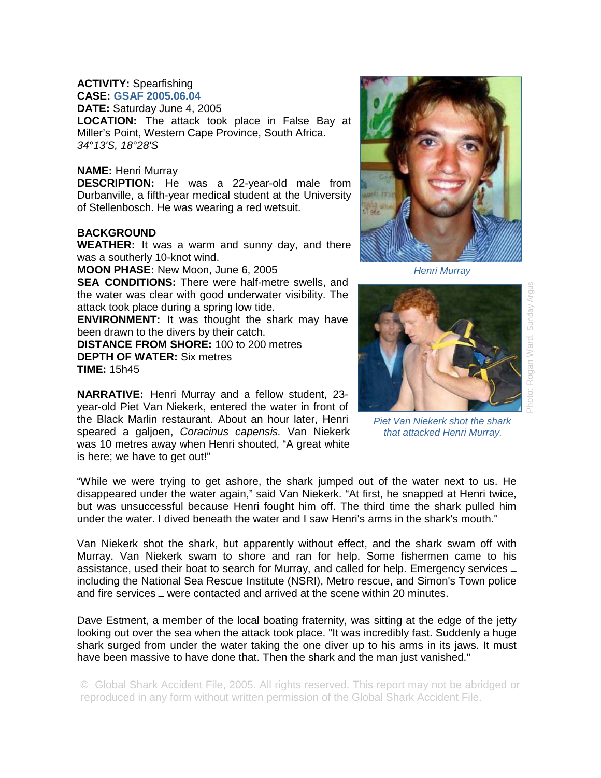## **ACTIVITY:** Spearfishing **CASE: GSAF 2005.06.04**

**DATE:** Saturday June 4, 2005

**LOCATION:** The attack took place in False Bay at Miller's Point, Western Cape Province, South Africa. *34°13'S, 18°28'S* 

## **NAME:** Henri Murray

**DESCRIPTION:** He was a 22-year-old male from Durbanville, a fifth-year medical student at the University of Stellenbosch. He was wearing a red wetsuit.

## **BACKGROUND**

**WEATHER:** It was a warm and sunny day, and there was a southerly 10-knot wind.

**MOON PHASE:** New Moon, June 6, 2005

**SEA CONDITIONS:** There were half-metre swells, and the water was clear with good underwater visibility. The attack took place during a spring low tide.

**ENVIRONMENT:** It was thought the shark may have been drawn to the divers by their catch.

speared a galjoen, *Coracinus capensis.* Van Niekerk was 10 metres away when Henri shouted, "A great white

**DISTANCE FROM SHORE:** 100 to 200 metres **DEPTH OF WATER:** Six metres **TIME:** 15h45

is here; we have to get out!"

Photo: Rogan Ward, Sunday Argus Sunday Argus Rogan Ward, phote:

*Henri Murray* 



*that attacked Henri Murray.* 

"While we were trying to get ashore, the shark jumped out of the water next to us. He disappeared under the water again," said Van Niekerk. "At first, he snapped at Henri twice, but was unsuccessful because Henri fought him off. The third time the shark pulled him under the water. I dived beneath the water and I saw Henri's arms in the shark's mouth."

Van Niekerk shot the shark, but apparently without effect, and the shark swam off with Murray. Van Niekerk swam to shore and ran for help. Some fishermen came to his assistance, used their boat to search for Murray, and called for help. Emergency services including the National Sea Rescue Institute (NSRI), Metro rescue, and Simon's Town police and fire services  $\equiv$  were contacted and arrived at the scene within 20 minutes.

Dave Estment, a member of the local boating fraternity, was sitting at the edge of the jetty looking out over the sea when the attack took place. "It was incredibly fast. Suddenly a huge shark surged from under the water taking the one diver up to his arms in its jaws. It must have been massive to have done that. Then the shark and the man just vanished."

© Global Shark Accident File, 2005. All rights reserved. This report may not be abridged or reproduced in any form without written permission of the Global Shark Accident File.